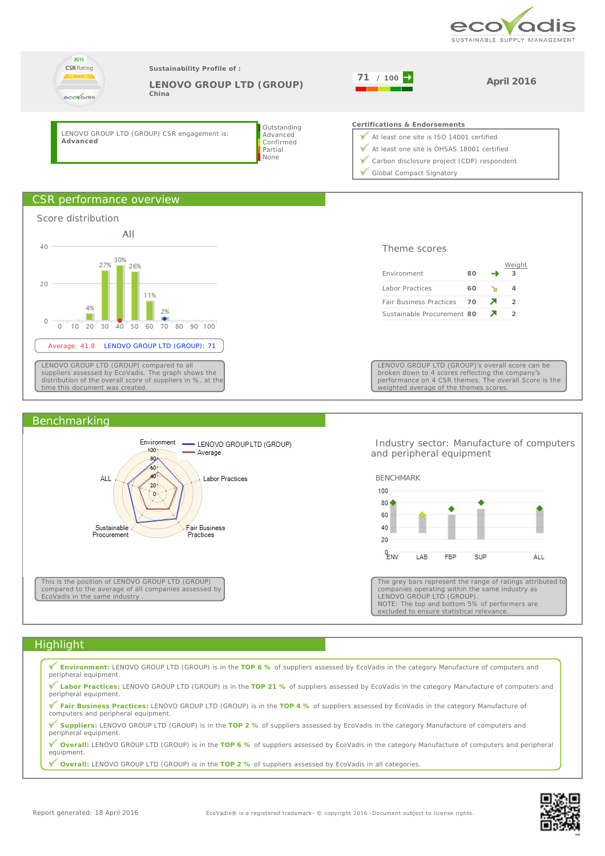





 Industry sector: Manufacture of computers and peripheral equipment



The grey bars represent the range of ratings attributed to companies operating within the same industry as LENOVO GROUP LTD (GROUP). NOTE: The top and bottom 5% of performers are excluded to ensure statistical relevance

## **Highlight**

**Environment:** LENOVO GROUP LTD (GROUP) is in the **TOP 6 %** of suppliers assessed by EcoVadis in the category Manufacture of computers and peripheral equipment. **Labor Practices:** LENOVO GROUP LTD (GROUP) is in the **TOP 21 %** of suppliers assessed by EcoVadis in the category Manufacture of computers and peripheral equipment.

**Fair Business Practices:** LENOVO GROUP LTD (GROUP) is in the **TOP 4 %** of suppliers assessed by EcoVadis in the category Manufacture of computers and peripheral equipment.

**Suppliers:** LENOVO GROUP LTD (GROUP) is in the **TOP 2 %** of suppliers assessed by EcoVadis in the category Manufacture of computers and peripheral equipment.

**Overall:** LENOVO GROUP LTD (GROUP) is in the **TOP 6 %** of suppliers assessed by EcoVadis in the category Manufacture of computers and peripheral equipment.

**Overall:** LENOVO GROUP LTD (GROUP) is in the **TOP 2 %** of suppliers assessed by EcoVadis in all categories.